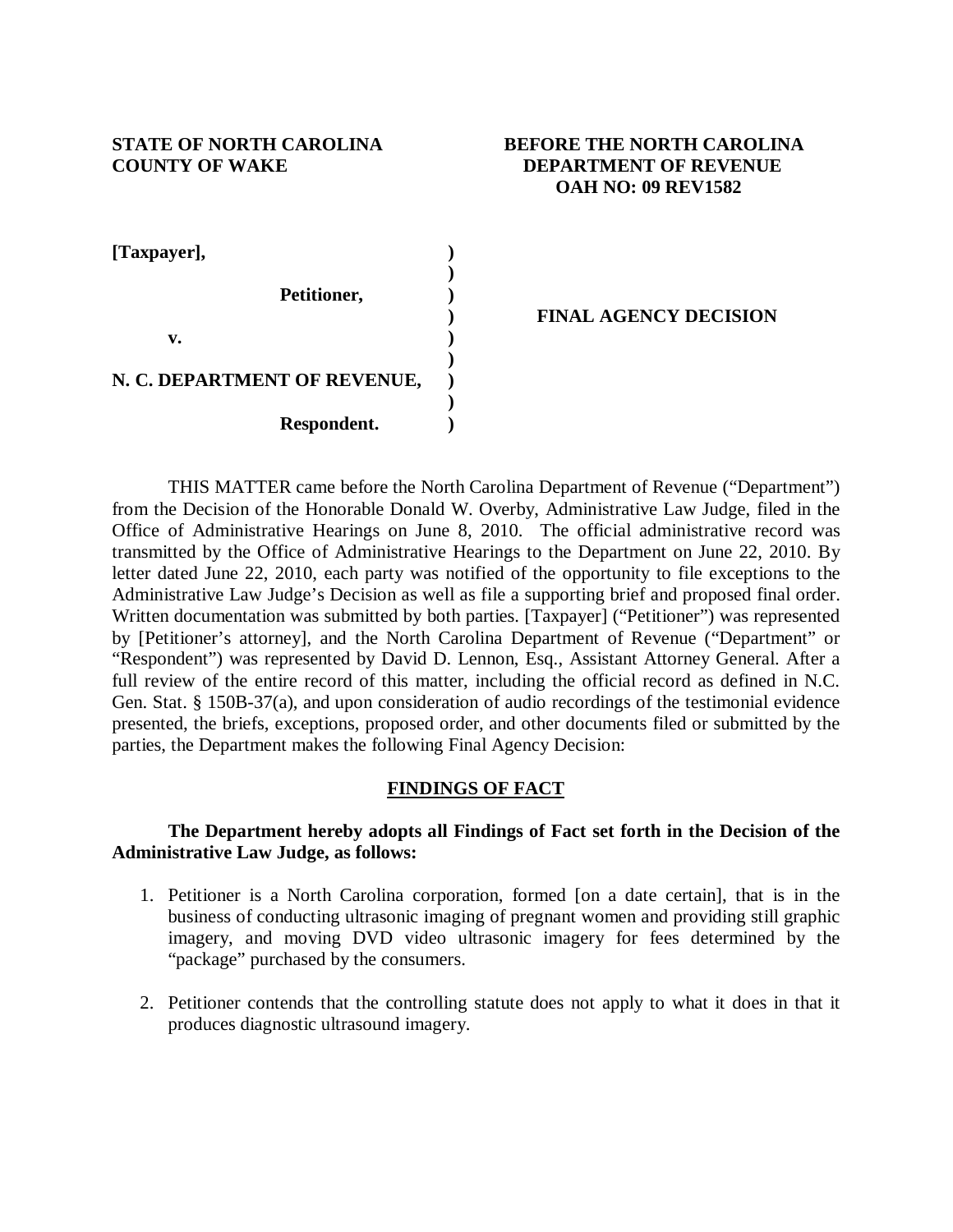# **STATE OF NORTH CAROLINA BEFORE THE NORTH CAROLINA COUNTY OF WAKE DEPARTMENT OF REVENUE OAH NO: 09 REV1582**

| [Taxpayer],                  |  |
|------------------------------|--|
|                              |  |
| Petitioner,                  |  |
|                              |  |
| v.                           |  |
|                              |  |
| N. C. DEPARTMENT OF REVENUE, |  |
|                              |  |
| Respondent.                  |  |

# **) FINAL AGENCY DECISION**

THIS MATTER came before the North Carolina Department of Revenue ("Department") from the Decision of the Honorable Donald W. Overby, Administrative Law Judge, filed in the Office of Administrative Hearings on June 8, 2010. The official administrative record was transmitted by the Office of Administrative Hearings to the Department on June 22, 2010. By letter dated June 22, 2010, each party was notified of the opportunity to file exceptions to the Administrative Law Judge's Decision as well as file a supporting brief and proposed final order. Written documentation was submitted by both parties. [Taxpayer] ("Petitioner") was represented by [Petitioner's attorney], and the North Carolina Department of Revenue ("Department" or "Respondent") was represented by David D. Lennon, Esq., Assistant Attorney General. After a full review of the entire record of this matter, including the official record as defined in N.C. Gen. Stat. § 150B-37(a), and upon consideration of audio recordings of the testimonial evidence presented, the briefs, exceptions, proposed order, and other documents filed or submitted by the parties, the Department makes the following Final Agency Decision:

# **FINDINGS OF FACT**

# **The Department hereby adopts all Findings of Fact set forth in the Decision of the Administrative Law Judge, as follows:**

- 1. Petitioner is a North Carolina corporation, formed [on a date certain], that is in the business of conducting ultrasonic imaging of pregnant women and providing still graphic imagery, and moving DVD video ultrasonic imagery for fees determined by the "package" purchased by the consumers.
- 2. Petitioner contends that the controlling statute does not apply to what it does in that it produces diagnostic ultrasound imagery.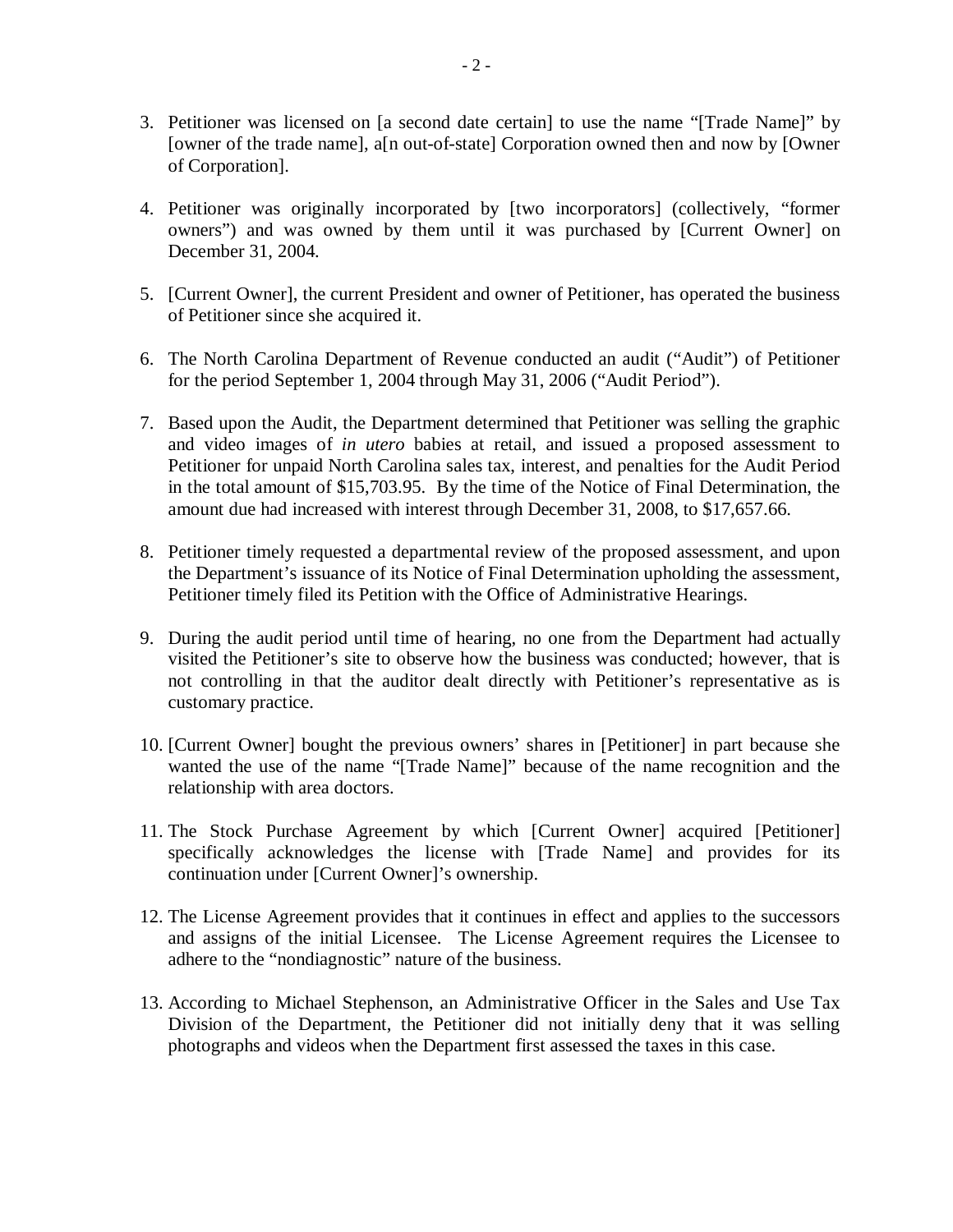- 3. Petitioner was licensed on [a second date certain] to use the name "[Trade Name]" by [owner of the trade name], a[n out-of-state] Corporation owned then and now by [Owner of Corporation].
- 4. Petitioner was originally incorporated by [two incorporators] (collectively, "former owners") and was owned by them until it was purchased by [Current Owner] on December 31, 2004.
- 5. [Current Owner], the current President and owner of Petitioner, has operated the business of Petitioner since she acquired it.
- 6. The North Carolina Department of Revenue conducted an audit ("Audit") of Petitioner for the period September 1, 2004 through May 31, 2006 ("Audit Period").
- 7. Based upon the Audit, the Department determined that Petitioner was selling the graphic and video images of *in utero* babies at retail, and issued a proposed assessment to Petitioner for unpaid North Carolina sales tax, interest, and penalties for the Audit Period in the total amount of \$15,703.95. By the time of the Notice of Final Determination, the amount due had increased with interest through December 31, 2008, to \$17,657.66.
- 8. Petitioner timely requested a departmental review of the proposed assessment, and upon the Department's issuance of its Notice of Final Determination upholding the assessment, Petitioner timely filed its Petition with the Office of Administrative Hearings.
- 9. During the audit period until time of hearing, no one from the Department had actually visited the Petitioner's site to observe how the business was conducted; however, that is not controlling in that the auditor dealt directly with Petitioner's representative as is customary practice.
- 10. [Current Owner] bought the previous owners' shares in [Petitioner] in part because she wanted the use of the name "[Trade Name]" because of the name recognition and the relationship with area doctors.
- 11. The Stock Purchase Agreement by which [Current Owner] acquired [Petitioner] specifically acknowledges the license with [Trade Name] and provides for its continuation under [Current Owner]'s ownership.
- 12. The License Agreement provides that it continues in effect and applies to the successors and assigns of the initial Licensee. The License Agreement requires the Licensee to adhere to the "nondiagnostic" nature of the business.
- 13. According to Michael Stephenson, an Administrative Officer in the Sales and Use Tax Division of the Department, the Petitioner did not initially deny that it was selling photographs and videos when the Department first assessed the taxes in this case.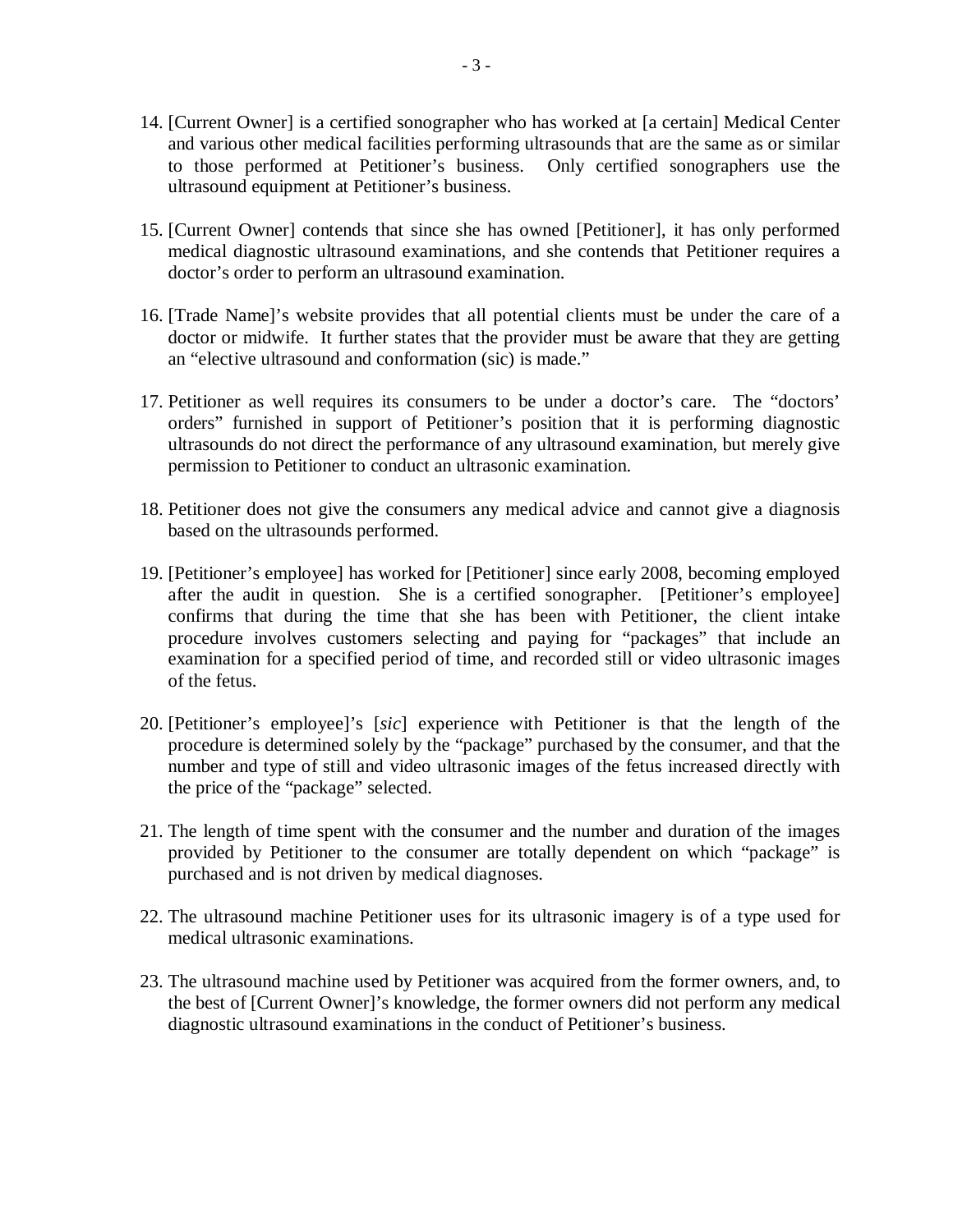- 14. [Current Owner] is a certified sonographer who has worked at [a certain] Medical Center and various other medical facilities performing ultrasounds that are the same as or similar to those performed at Petitioner's business. Only certified sonographers use the ultrasound equipment at Petitioner's business.
- 15. [Current Owner] contends that since she has owned [Petitioner], it has only performed medical diagnostic ultrasound examinations, and she contends that Petitioner requires a doctor's order to perform an ultrasound examination.
- 16. [Trade Name]'s website provides that all potential clients must be under the care of a doctor or midwife. It further states that the provider must be aware that they are getting an "elective ultrasound and conformation (sic) is made."
- 17. Petitioner as well requires its consumers to be under a doctor's care. The "doctors' orders" furnished in support of Petitioner's position that it is performing diagnostic ultrasounds do not direct the performance of any ultrasound examination, but merely give permission to Petitioner to conduct an ultrasonic examination.
- 18. Petitioner does not give the consumers any medical advice and cannot give a diagnosis based on the ultrasounds performed.
- 19. [Petitioner's employee] has worked for [Petitioner] since early 2008, becoming employed after the audit in question. She is a certified sonographer. [Petitioner's employee] confirms that during the time that she has been with Petitioner, the client intake procedure involves customers selecting and paying for "packages" that include an examination for a specified period of time, and recorded still or video ultrasonic images of the fetus.
- 20. [Petitioner's employee]'s [*sic*] experience with Petitioner is that the length of the procedure is determined solely by the "package" purchased by the consumer, and that the number and type of still and video ultrasonic images of the fetus increased directly with the price of the "package" selected.
- 21. The length of time spent with the consumer and the number and duration of the images provided by Petitioner to the consumer are totally dependent on which "package" is purchased and is not driven by medical diagnoses.
- 22. The ultrasound machine Petitioner uses for its ultrasonic imagery is of a type used for medical ultrasonic examinations.
- 23. The ultrasound machine used by Petitioner was acquired from the former owners, and, to the best of [Current Owner]'s knowledge, the former owners did not perform any medical diagnostic ultrasound examinations in the conduct of Petitioner's business.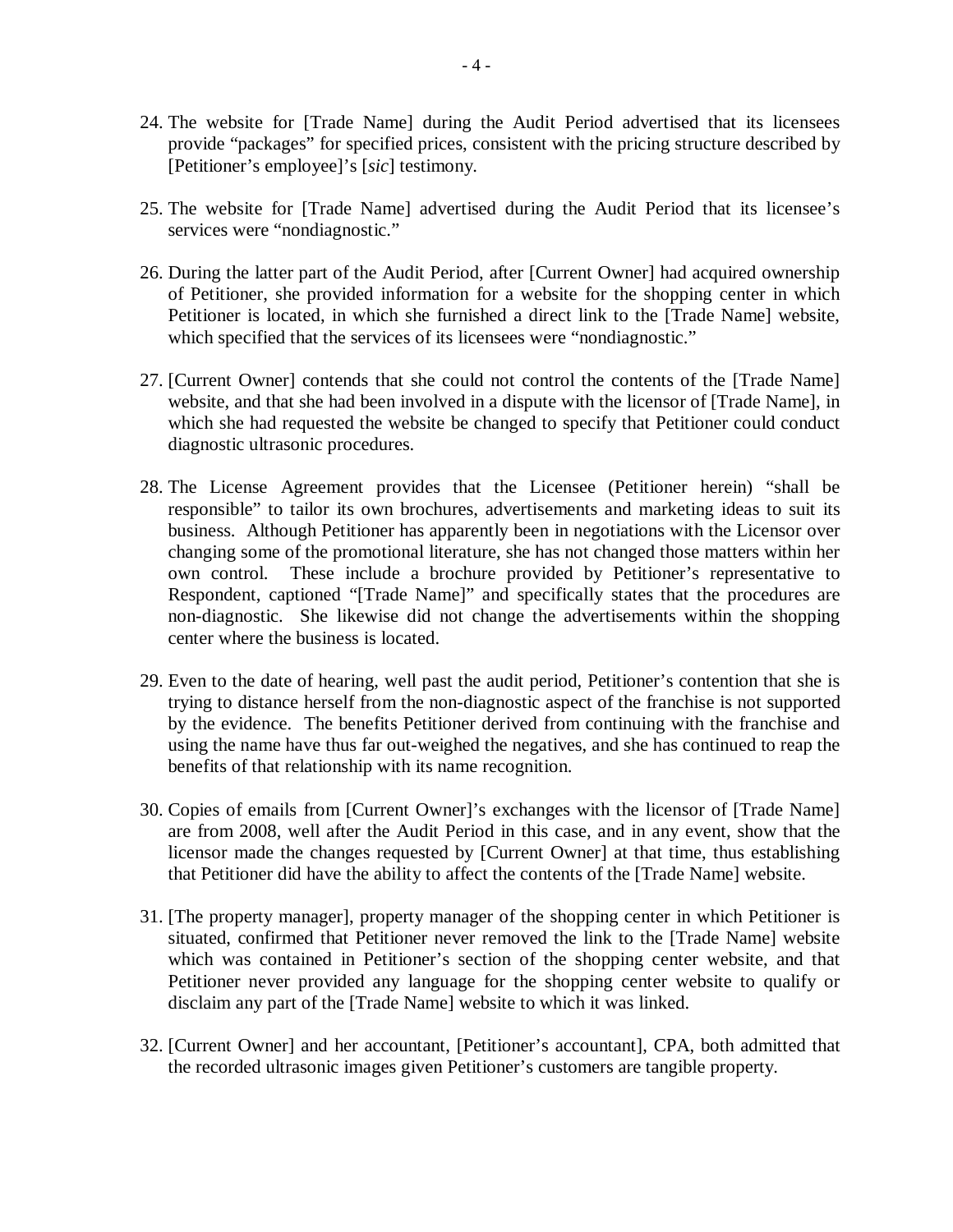- 24. The website for [Trade Name] during the Audit Period advertised that its licensees provide "packages" for specified prices, consistent with the pricing structure described by [Petitioner's employee]'s [*sic*] testimony.
- 25. The website for [Trade Name] advertised during the Audit Period that its licensee's services were "nondiagnostic."
- 26. During the latter part of the Audit Period, after [Current Owner] had acquired ownership of Petitioner, she provided information for a website for the shopping center in which Petitioner is located, in which she furnished a direct link to the [Trade Name] website, which specified that the services of its licensees were "nondiagnostic."
- 27. [Current Owner] contends that she could not control the contents of the [Trade Name] website, and that she had been involved in a dispute with the licensor of [Trade Name], in which she had requested the website be changed to specify that Petitioner could conduct diagnostic ultrasonic procedures.
- 28. The License Agreement provides that the Licensee (Petitioner herein) "shall be responsible" to tailor its own brochures, advertisements and marketing ideas to suit its business. Although Petitioner has apparently been in negotiations with the Licensor over changing some of the promotional literature, she has not changed those matters within her own control. These include a brochure provided by Petitioner's representative to Respondent, captioned "[Trade Name]" and specifically states that the procedures are non-diagnostic. She likewise did not change the advertisements within the shopping center where the business is located.
- 29. Even to the date of hearing, well past the audit period, Petitioner's contention that she is trying to distance herself from the non-diagnostic aspect of the franchise is not supported by the evidence. The benefits Petitioner derived from continuing with the franchise and using the name have thus far out-weighed the negatives, and she has continued to reap the benefits of that relationship with its name recognition.
- 30. Copies of emails from [Current Owner]'s exchanges with the licensor of [Trade Name] are from 2008, well after the Audit Period in this case, and in any event, show that the licensor made the changes requested by [Current Owner] at that time, thus establishing that Petitioner did have the ability to affect the contents of the [Trade Name] website.
- 31. [The property manager], property manager of the shopping center in which Petitioner is situated, confirmed that Petitioner never removed the link to the [Trade Name] website which was contained in Petitioner's section of the shopping center website, and that Petitioner never provided any language for the shopping center website to qualify or disclaim any part of the [Trade Name] website to which it was linked.
- 32. [Current Owner] and her accountant, [Petitioner's accountant], CPA, both admitted that the recorded ultrasonic images given Petitioner's customers are tangible property.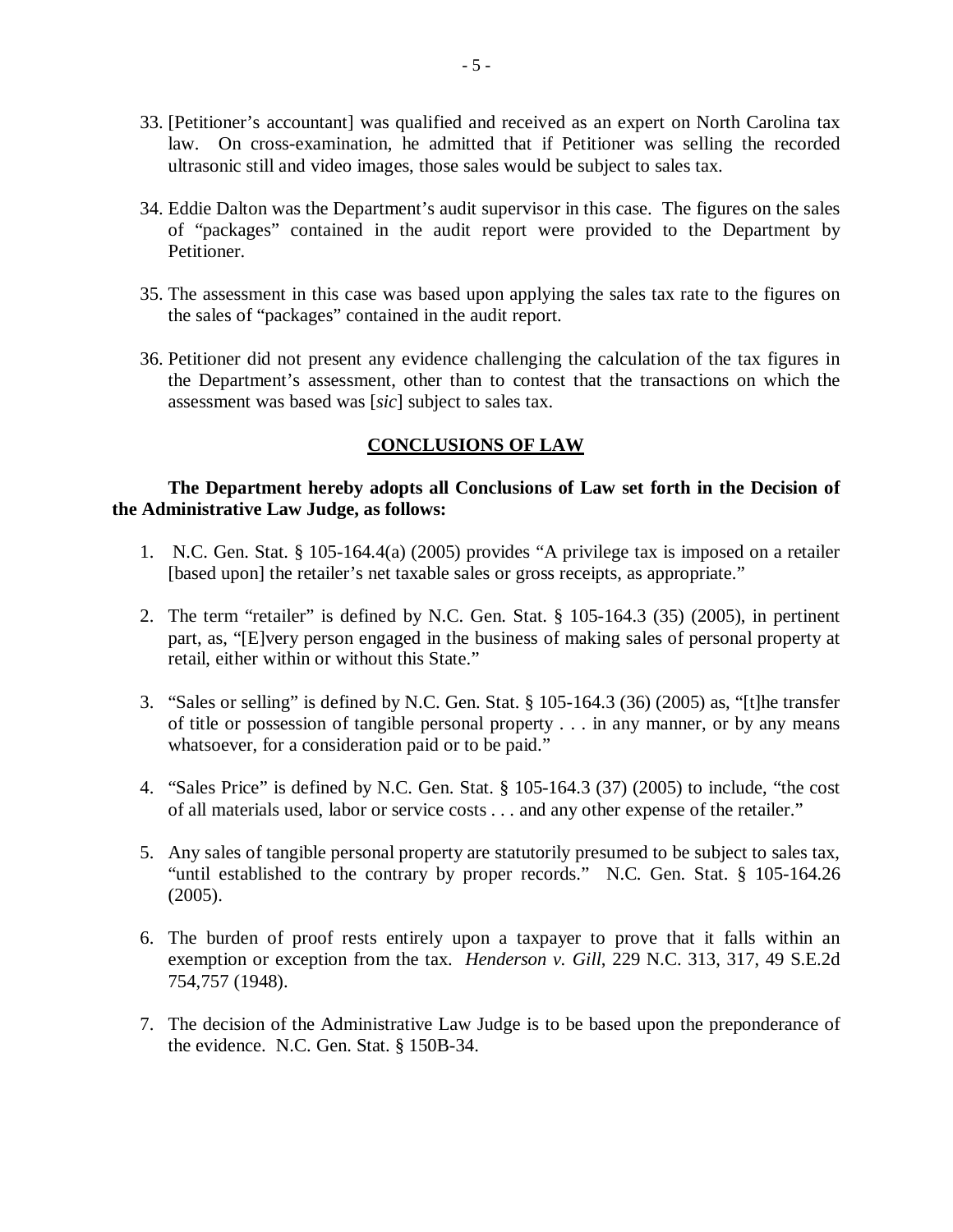- 33. [Petitioner's accountant] was qualified and received as an expert on North Carolina tax law. On cross-examination, he admitted that if Petitioner was selling the recorded ultrasonic still and video images, those sales would be subject to sales tax.
- 34. Eddie Dalton was the Department's audit supervisor in this case. The figures on the sales of "packages" contained in the audit report were provided to the Department by Petitioner.
- 35. The assessment in this case was based upon applying the sales tax rate to the figures on the sales of "packages" contained in the audit report.
- 36. Petitioner did not present any evidence challenging the calculation of the tax figures in the Department's assessment, other than to contest that the transactions on which the assessment was based was [*sic*] subject to sales tax.

# **CONCLUSIONS OF LAW**

# **The Department hereby adopts all Conclusions of Law set forth in the Decision of the Administrative Law Judge, as follows:**

- 1. N.C. Gen. Stat. § 105-164.4(a) (2005) provides "A privilege tax is imposed on a retailer [based upon] the retailer's net taxable sales or gross receipts, as appropriate."
- 2. The term "retailer" is defined by N.C. Gen. Stat. § 105-164.3 (35) (2005), in pertinent part, as, "[E]very person engaged in the business of making sales of personal property at retail, either within or without this State."
- 3. "Sales or selling" is defined by N.C. Gen. Stat. § 105-164.3 (36) (2005) as, "[t]he transfer of title or possession of tangible personal property . . . in any manner, or by any means whatsoever, for a consideration paid or to be paid."
- 4. "Sales Price" is defined by N.C. Gen. Stat. § 105-164.3 (37) (2005) to include, "the cost of all materials used, labor or service costs . . . and any other expense of the retailer."
- 5. Any sales of tangible personal property are statutorily presumed to be subject to sales tax, "until established to the contrary by proper records." N.C. Gen. Stat. § 105-164.26 (2005).
- 6. The burden of proof rests entirely upon a taxpayer to prove that it falls within an exemption or exception from the tax. *Henderson v. Gill*, 229 N.C. 313, 317, 49 S.E.2d 754,757 (1948).
- 7. The decision of the Administrative Law Judge is to be based upon the preponderance of the evidence. N.C. Gen. Stat. § 150B-34.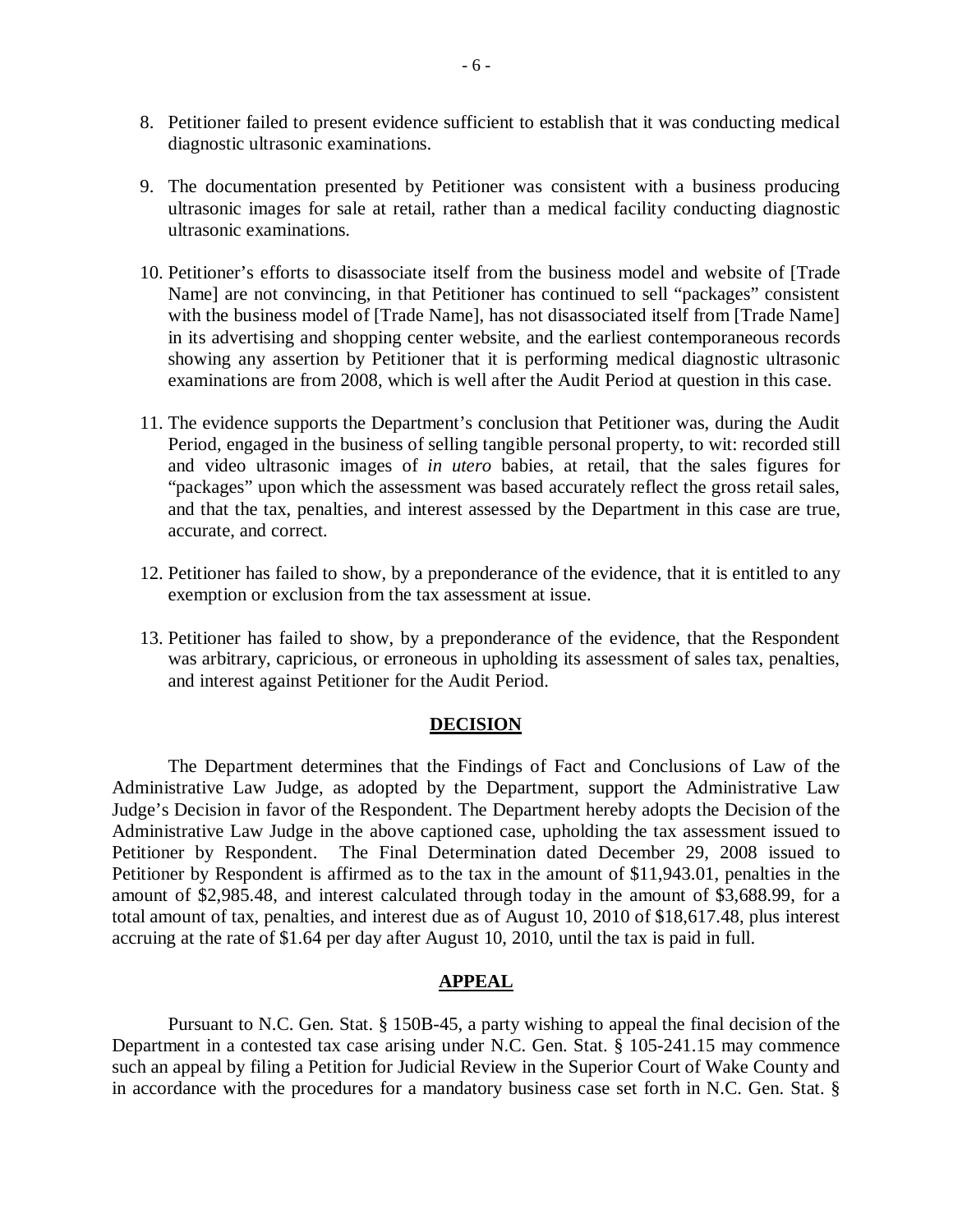- 8. Petitioner failed to present evidence sufficient to establish that it was conducting medical diagnostic ultrasonic examinations.
- 9. The documentation presented by Petitioner was consistent with a business producing ultrasonic images for sale at retail, rather than a medical facility conducting diagnostic ultrasonic examinations.
- 10. Petitioner's efforts to disassociate itself from the business model and website of [Trade Name] are not convincing, in that Petitioner has continued to sell "packages" consistent with the business model of [Trade Name], has not disassociated itself from [Trade Name] in its advertising and shopping center website, and the earliest contemporaneous records showing any assertion by Petitioner that it is performing medical diagnostic ultrasonic examinations are from 2008, which is well after the Audit Period at question in this case.
- 11. The evidence supports the Department's conclusion that Petitioner was, during the Audit Period, engaged in the business of selling tangible personal property, to wit: recorded still and video ultrasonic images of *in utero* babies, at retail, that the sales figures for "packages" upon which the assessment was based accurately reflect the gross retail sales, and that the tax, penalties, and interest assessed by the Department in this case are true, accurate, and correct.
- 12. Petitioner has failed to show, by a preponderance of the evidence, that it is entitled to any exemption or exclusion from the tax assessment at issue.
- 13. Petitioner has failed to show, by a preponderance of the evidence, that the Respondent was arbitrary, capricious, or erroneous in upholding its assessment of sales tax, penalties, and interest against Petitioner for the Audit Period.

### **DECISION**

The Department determines that the Findings of Fact and Conclusions of Law of the Administrative Law Judge, as adopted by the Department, support the Administrative Law Judge's Decision in favor of the Respondent. The Department hereby adopts the Decision of the Administrative Law Judge in the above captioned case, upholding the tax assessment issued to Petitioner by Respondent. The Final Determination dated December 29, 2008 issued to Petitioner by Respondent is affirmed as to the tax in the amount of \$11,943.01, penalties in the amount of \$2,985.48, and interest calculated through today in the amount of \$3,688.99, for a total amount of tax, penalties, and interest due as of August 10, 2010 of \$18,617.48, plus interest accruing at the rate of \$1.64 per day after August 10, 2010, until the tax is paid in full.

#### **APPEAL**

Pursuant to N.C. Gen. Stat. § 150B-45, a party wishing to appeal the final decision of the Department in a contested tax case arising under N.C. Gen. Stat. § 105-241.15 may commence such an appeal by filing a Petition for Judicial Review in the Superior Court of Wake County and in accordance with the procedures for a mandatory business case set forth in N.C. Gen. Stat. §